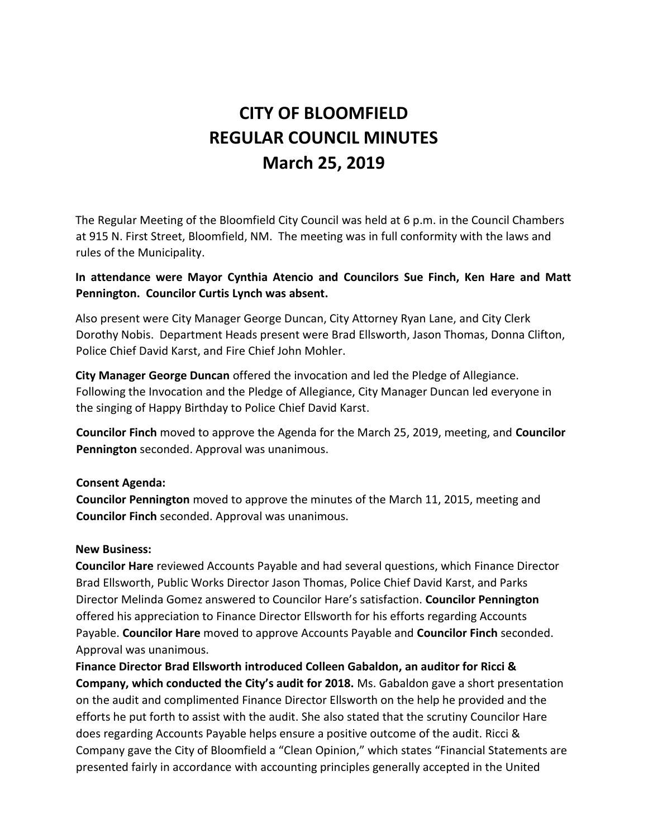# **CITY OF BLOOMFIELD REGULAR COUNCIL MINUTES March 25, 2019**

The Regular Meeting of the Bloomfield City Council was held at 6 p.m. in the Council Chambers at 915 N. First Street, Bloomfield, NM. The meeting was in full conformity with the laws and rules of the Municipality.

## **In attendance were Mayor Cynthia Atencio and Councilors Sue Finch, Ken Hare and Matt Pennington. Councilor Curtis Lynch was absent.**

Also present were City Manager George Duncan, City Attorney Ryan Lane, and City Clerk Dorothy Nobis. Department Heads present were Brad Ellsworth, Jason Thomas, Donna Clifton, Police Chief David Karst, and Fire Chief John Mohler.

**City Manager George Duncan** offered the invocation and led the Pledge of Allegiance. Following the Invocation and the Pledge of Allegiance, City Manager Duncan led everyone in the singing of Happy Birthday to Police Chief David Karst.

**Councilor Finch** moved to approve the Agenda for the March 25, 2019, meeting, and **Councilor Pennington** seconded. Approval was unanimous.

## **Consent Agenda:**

**Councilor Pennington** moved to approve the minutes of the March 11, 2015, meeting and **Councilor Finch** seconded. Approval was unanimous.

## **New Business:**

**Councilor Hare** reviewed Accounts Payable and had several questions, which Finance Director Brad Ellsworth, Public Works Director Jason Thomas, Police Chief David Karst, and Parks Director Melinda Gomez answered to Councilor Hare's satisfaction. **Councilor Pennington** offered his appreciation to Finance Director Ellsworth for his efforts regarding Accounts Payable. **Councilor Hare** moved to approve Accounts Payable and **Councilor Finch** seconded. Approval was unanimous.

**Finance Director Brad Ellsworth introduced Colleen Gabaldon, an auditor for Ricci & Company, which conducted the City's audit for 2018.** Ms. Gabaldon gave a short presentation on the audit and complimented Finance Director Ellsworth on the help he provided and the efforts he put forth to assist with the audit. She also stated that the scrutiny Councilor Hare does regarding Accounts Payable helps ensure a positive outcome of the audit. Ricci & Company gave the City of Bloomfield a "Clean Opinion," which states "Financial Statements are presented fairly in accordance with accounting principles generally accepted in the United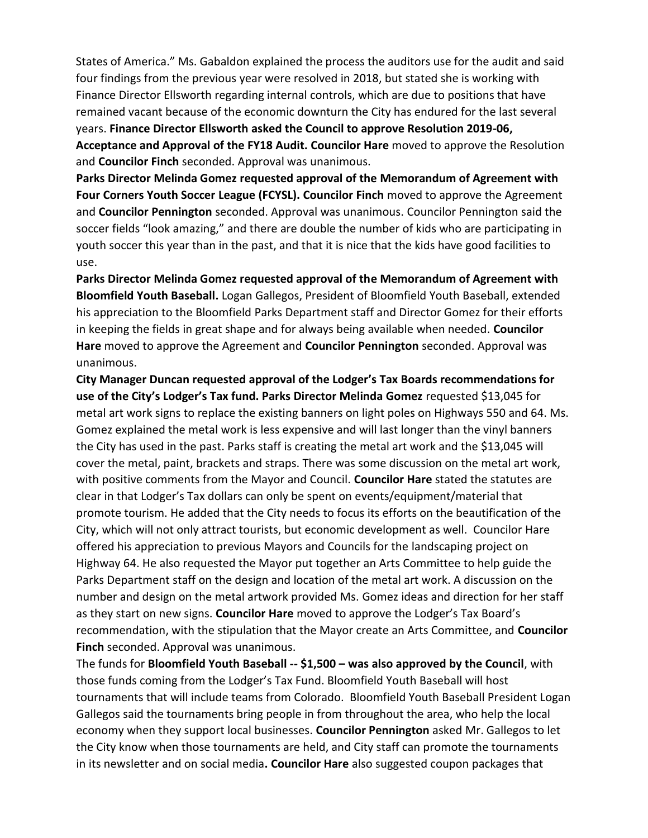States of America." Ms. Gabaldon explained the process the auditors use for the audit and said four findings from the previous year were resolved in 2018, but stated she is working with Finance Director Ellsworth regarding internal controls, which are due to positions that have remained vacant because of the economic downturn the City has endured for the last several years. **Finance Director Ellsworth asked the Council to approve Resolution 2019-06, Acceptance and Approval of the FY18 Audit. Councilor Hare** moved to approve the Resolution and **Councilor Finch** seconded. Approval was unanimous.

**Parks Director Melinda Gomez requested approval of the Memorandum of Agreement with Four Corners Youth Soccer League (FCYSL). Councilor Finch** moved to approve the Agreement and **Councilor Pennington** seconded. Approval was unanimous. Councilor Pennington said the soccer fields "look amazing," and there are double the number of kids who are participating in youth soccer this year than in the past, and that it is nice that the kids have good facilities to use.

**Parks Director Melinda Gomez requested approval of the Memorandum of Agreement with Bloomfield Youth Baseball.** Logan Gallegos, President of Bloomfield Youth Baseball, extended his appreciation to the Bloomfield Parks Department staff and Director Gomez for their efforts in keeping the fields in great shape and for always being available when needed. **Councilor Hare** moved to approve the Agreement and **Councilor Pennington** seconded. Approval was unanimous.

**City Manager Duncan requested approval of the Lodger's Tax Boards recommendations for**  use of the City's Lodger's Tax fund. Parks Director Melinda Gomez requested \$13,045 for metal art work signs to replace the existing banners on light poles on Highways 550 and 64. Ms. Gomez explained the metal work is less expensive and will last longer than the vinyl banners the City has used in the past. Parks staff is creating the metal art work and the \$13,045 will cover the metal, paint, brackets and straps. There was some discussion on the metal art work, with positive comments from the Mayor and Council. **Councilor Hare** stated the statutes are clear in that Lodger's Tax dollars can only be spent on events/equipment/material that promote tourism. He added that the City needs to focus its efforts on the beautification of the City, which will not only attract tourists, but economic development as well. Councilor Hare offered his appreciation to previous Mayors and Councils for the landscaping project on Highway 64. He also requested the Mayor put together an Arts Committee to help guide the Parks Department staff on the design and location of the metal art work. A discussion on the number and design on the metal artwork provided Ms. Gomez ideas and direction for her staff as they start on new signs. **Councilor Hare** moved to approve the Lodger's Tax Board's recommendation, with the stipulation that the Mayor create an Arts Committee, and **Councilor Finch** seconded. Approval was unanimous.

The funds for **Bloomfield Youth Baseball -- \$1,500 – was also approved by the Council**, with those funds coming from the Lodger's Tax Fund. Bloomfield Youth Baseball will host tournaments that will include teams from Colorado. Bloomfield Youth Baseball President Logan Gallegos said the tournaments bring people in from throughout the area, who help the local economy when they support local businesses. **Councilor Pennington** asked Mr. Gallegos to let the City know when those tournaments are held, and City staff can promote the tournaments in its newsletter and on social media**. Councilor Hare** also suggested coupon packages that